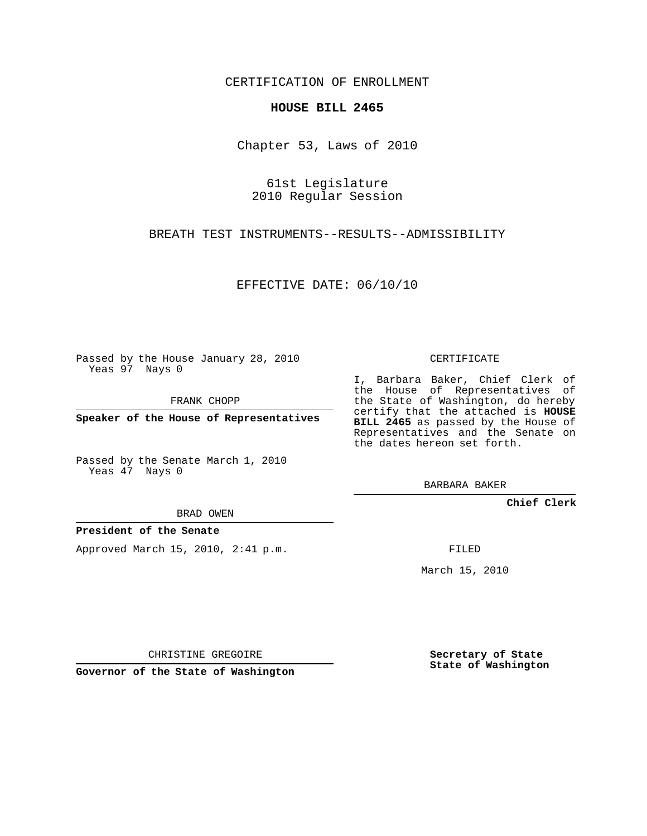CERTIFICATION OF ENROLLMENT

## **HOUSE BILL 2465**

Chapter 53, Laws of 2010

61st Legislature 2010 Regular Session

BREATH TEST INSTRUMENTS--RESULTS--ADMISSIBILITY

EFFECTIVE DATE: 06/10/10

Passed by the House January 28, 2010 Yeas 97 Nays 0

FRANK CHOPP

**Speaker of the House of Representatives**

Passed by the Senate March 1, 2010 Yeas 47 Nays 0

BRAD OWEN

## **President of the Senate**

Approved March 15, 2010, 2:41 p.m.

CERTIFICATE

I, Barbara Baker, Chief Clerk of the House of Representatives of the State of Washington, do hereby certify that the attached is **HOUSE BILL 2465** as passed by the House of Representatives and the Senate on the dates hereon set forth.

BARBARA BAKER

**Chief Clerk**

FILED

March 15, 2010

CHRISTINE GREGOIRE

**Governor of the State of Washington**

**Secretary of State State of Washington**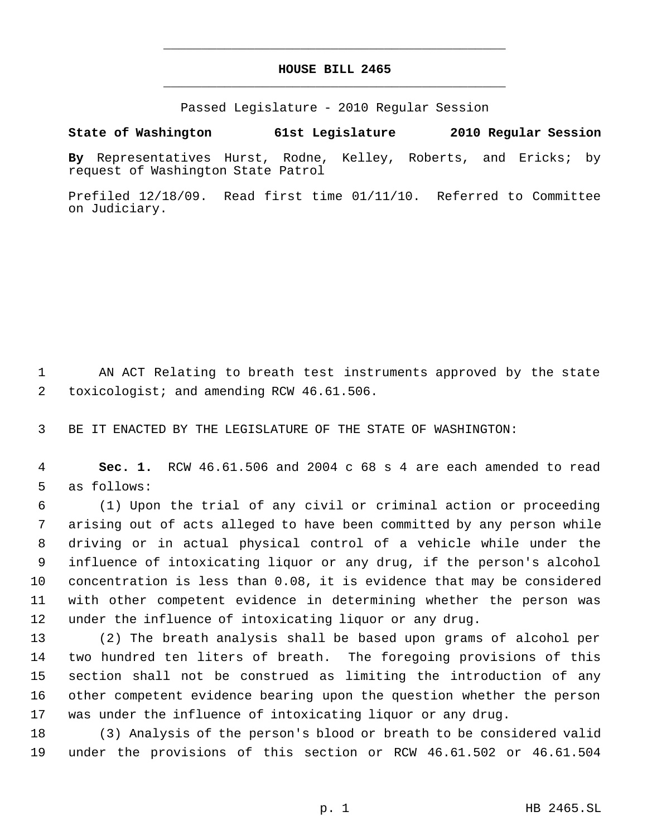## **HOUSE BILL 2465** \_\_\_\_\_\_\_\_\_\_\_\_\_\_\_\_\_\_\_\_\_\_\_\_\_\_\_\_\_\_\_\_\_\_\_\_\_\_\_\_\_\_\_\_\_

\_\_\_\_\_\_\_\_\_\_\_\_\_\_\_\_\_\_\_\_\_\_\_\_\_\_\_\_\_\_\_\_\_\_\_\_\_\_\_\_\_\_\_\_\_

Passed Legislature - 2010 Regular Session

## **State of Washington 61st Legislature 2010 Regular Session**

**By** Representatives Hurst, Rodne, Kelley, Roberts, and Ericks; by request of Washington State Patrol

Prefiled 12/18/09. Read first time 01/11/10. Referred to Committee on Judiciary.

 AN ACT Relating to breath test instruments approved by the state 2 toxicologist; and amending RCW 46.61.506.

BE IT ENACTED BY THE LEGISLATURE OF THE STATE OF WASHINGTON:

 **Sec. 1.** RCW 46.61.506 and 2004 c 68 s 4 are each amended to read as follows:

 (1) Upon the trial of any civil or criminal action or proceeding arising out of acts alleged to have been committed by any person while driving or in actual physical control of a vehicle while under the influence of intoxicating liquor or any drug, if the person's alcohol concentration is less than 0.08, it is evidence that may be considered with other competent evidence in determining whether the person was under the influence of intoxicating liquor or any drug.

 (2) The breath analysis shall be based upon grams of alcohol per two hundred ten liters of breath. The foregoing provisions of this section shall not be construed as limiting the introduction of any other competent evidence bearing upon the question whether the person was under the influence of intoxicating liquor or any drug.

 (3) Analysis of the person's blood or breath to be considered valid under the provisions of this section or RCW 46.61.502 or 46.61.504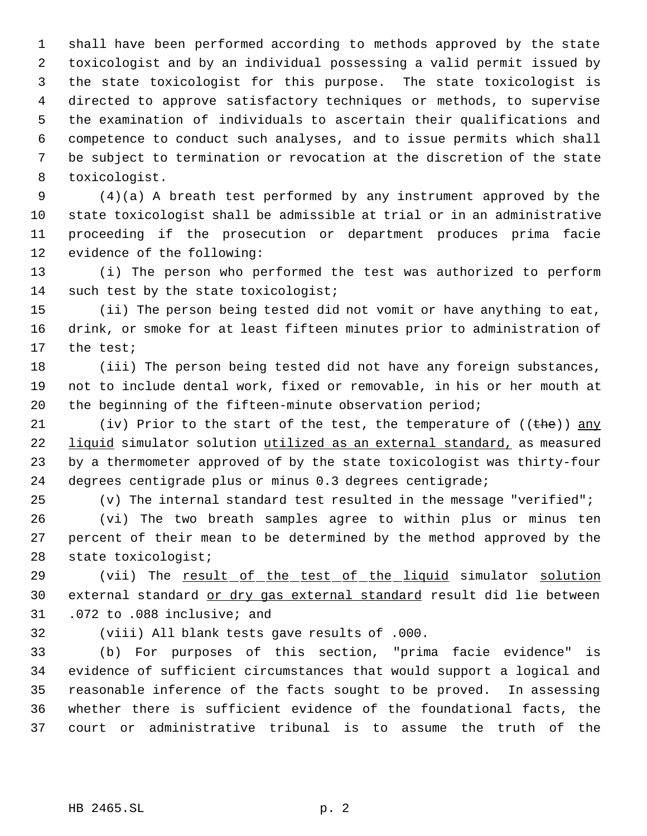shall have been performed according to methods approved by the state toxicologist and by an individual possessing a valid permit issued by the state toxicologist for this purpose. The state toxicologist is directed to approve satisfactory techniques or methods, to supervise the examination of individuals to ascertain their qualifications and competence to conduct such analyses, and to issue permits which shall be subject to termination or revocation at the discretion of the state toxicologist.

 (4)(a) A breath test performed by any instrument approved by the state toxicologist shall be admissible at trial or in an administrative proceeding if the prosecution or department produces prima facie evidence of the following:

 (i) The person who performed the test was authorized to perform 14 such test by the state toxicologist;

 (ii) The person being tested did not vomit or have anything to eat, drink, or smoke for at least fifteen minutes prior to administration of the test;

 (iii) The person being tested did not have any foreign substances, not to include dental work, fixed or removable, in his or her mouth at the beginning of the fifteen-minute observation period;

21 (iv) Prior to the start of the test, the temperature of  $((the)$ ) any 22 liquid simulator solution utilized as an external standard, as measured by a thermometer approved of by the state toxicologist was thirty-four degrees centigrade plus or minus 0.3 degrees centigrade;

(v) The internal standard test resulted in the message "verified";

 (vi) The two breath samples agree to within plus or minus ten percent of their mean to be determined by the method approved by the state toxicologist;

29 (vii) The result of the test of the liquid simulator solution external standard or dry gas external standard result did lie between .072 to .088 inclusive; and

(viii) All blank tests gave results of .000.

 (b) For purposes of this section, "prima facie evidence" is evidence of sufficient circumstances that would support a logical and reasonable inference of the facts sought to be proved. In assessing whether there is sufficient evidence of the foundational facts, the court or administrative tribunal is to assume the truth of the